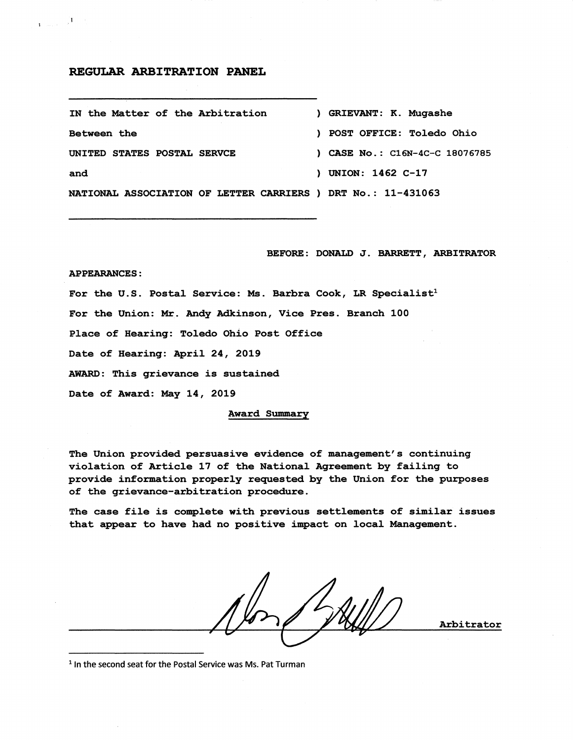## REGULAR ARBITRATION PANEL

| IN the Matter of the Arbitration                             | ) GRIEVANT: K. Mugashe           |
|--------------------------------------------------------------|----------------------------------|
| <b>Between</b> the                                           | ) POST OFFICE: Toledo Ohio       |
| UNITED STATES POSTAL SERVCE                                  | $)$ CASE No.: C16N-4C-C 18076785 |
| and                                                          | ) UNION: 1462 C-17               |
| NATIONAL ASSOCIATION OF LETTER CARRIERS ) DRT No.: 11-431063 |                                  |

BEFORE: DONALD J. BARRETT, ARBITRATOR

#### APPEARANCES:

 $\mathbf{1}_{\text{infinite}} = \mathbf{1}_{\text{infinite}}$ 

For the U.S. Postal Service: Ms. Barbra Cook, LR Specialist<sup>1</sup> For the Union: Mr. Andy Adkinson, Vice Pres. Branch 100 Place of Hearing: Toledo Ohio Post Office Date of Hearing: April 24, 2019 AWARD: This grievance is sustained Date of Award: May 14, 2019

Award Summary

The Union provided persuasive evidence of management's continuing violation of Article 17 of the National Agreement by failing to provide information properly requested by the Union for the purposes of the grievance-arbitration procedure.

The case file is complete with previous settlements of similar issues that appear to have had no positive impact on local Management.

Arbitrator

<sup>1</sup> In the second seat for the Postal Service was Ms. Pat Turman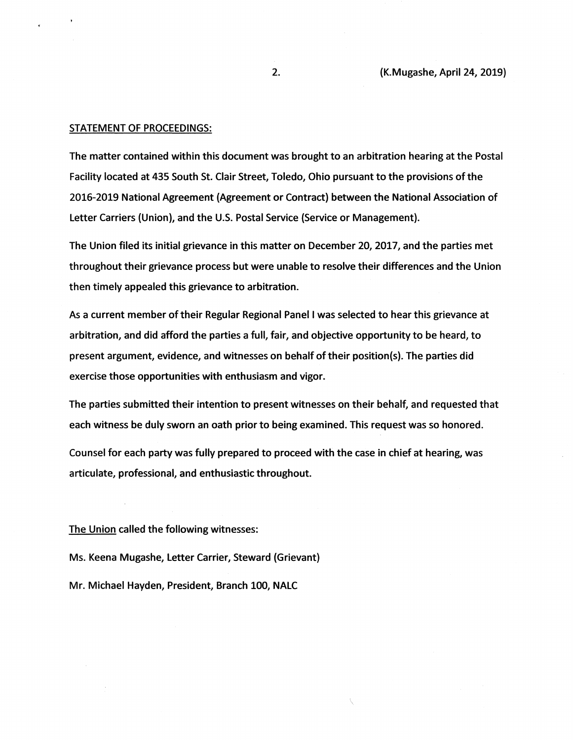### STATEMENT OF PROCEEDINGS:

The matter contained within this document was brought to an arbitration hearing at the Postal Facility located at 435 South St. Clair Street, Toledo, Ohio pursuant to the provisions of the 2016-2019 National Agreement (Agreement or Contract) between the National Association of Letter Carriers (Union), and the U.S. Postal Service (Service or Management).

The Union filed its initial grievance in this matter on December 20, 2017, and the parties met throughout their grievance process but were unable to resolve their differences and the Union then timely appealed this grievance to arbitration.

As a current member oftheir Regular Regional Panel I was selected to hear this grievance at arbitration, and did afford the parties a full, fair, and objective opportunity to be heard, to present argument, evidence, and witnesses on behalf of their position(s). The parties did exercise those opportunities with enthusiasm and vigor.

The parties submitted their intention to present witnesses on their behalf, and requested that each witness be duly sworn an oath prior to being examined. This request was so honored.

Counsel for each party was fully prepared to proceed with the case in chief at hearing, was articulate, professional, and enthusiastic throughout.

\.

The Union called the following witnesses:

Ms. Keena Mugashe, Letter Carrier, Steward (Grievant) Mr. Michael Hayden, President, Branch 100, NALC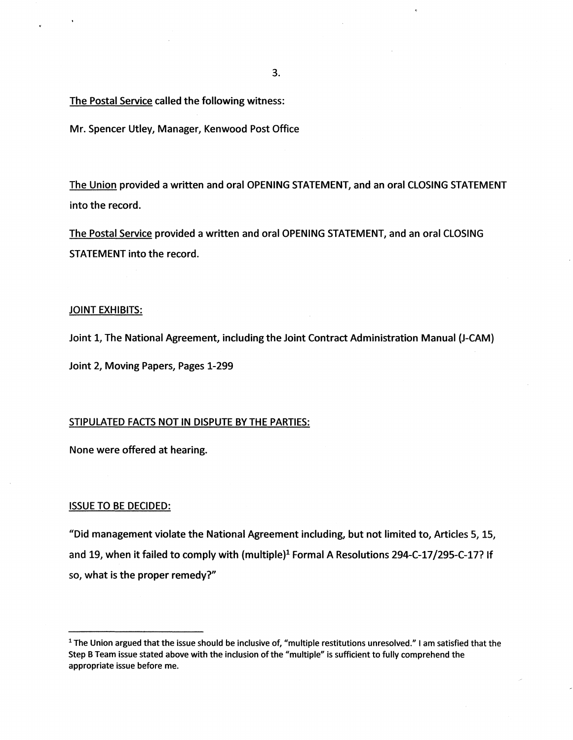The Postal Service called the following witness:

Mr. Spencer Utley, Manager, Kenwood Post Office

The Union provided a written and oral OPENING STATEMENT, and an oral CLOSING STATEMENT into the record.

The Postal Service provided a written and oral OPENING STATEMENT, and an oral CLOSING STATEMENT into the record.

## JOINT EXHIBITS:

Joint 1, The National Agreement, including the Joint Contract Administration Manual (J-CAM)

Joint *2,* Moving Papers, Pages 1-299

## STIPULATED FACTS NOT IN DISPUTE BY THE PARTIES:

None were offered at hearing.

#### ISSUE TO BE DECIDED:

"Did management violate the National Agreement including, but not limited *to,* Articles *5, 15,*  and 19, when it failed to comply with (multiple)<sup>1</sup> Formal A Resolutions 294-C-17/295-C-17? If *so,* what is the proper remedy?"

<sup>1</sup> The Union argued that the issue should be inclusive of, "multiple restitutions unresolved." I am satisfied that the Step B Team issue stated above with the inclusion of the "multiple" is sufficient to fully comprehend the appropriate issue before me.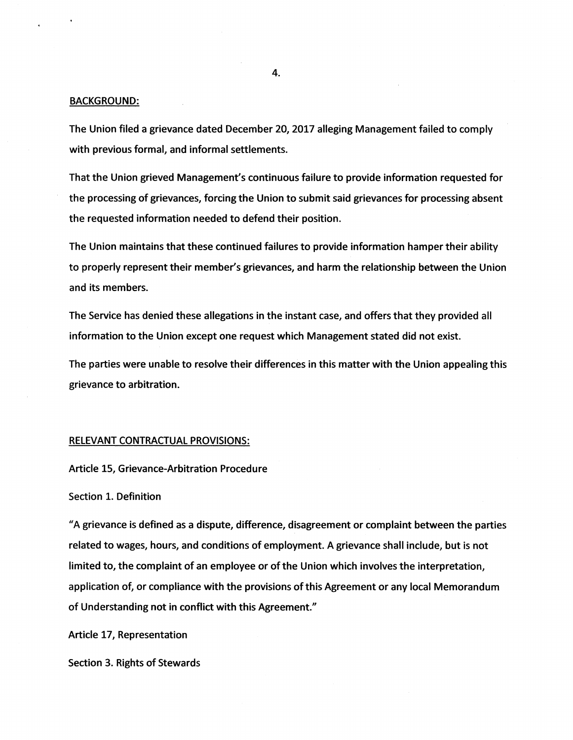## BACKGROUND:

The Union filed a grievance dated December 20, 2017 alleging Management failed to comply with previous formal, and informal settlements.

That the Union grieved Management's continuous failure to provide information requested for the processing of grievances, forcing the Union to submit said grievances for processing absent the requested information needed to defend their position.

The Union maintains that these continued failures to provide information hamper their ability to properly represent their member's grievances, and harm the relationship between the Union and its members.

The Service has denied these allegations in the instant case, and offers that they provided all information to the Union except one request which Management stated did not exist.

The parties were unable to resolve their differences in this matter with the Union appealing this grievance to arbitration.

### RELEVANT CONTRACTUAL PROVISIONS:

Article 15, Grievance-Arbitration Procedure

# Section 1. Definition

"A grievance is defined as a dispute, difference, disagreement or complaint between the parties related to wages, hours, and conditions of employment. A grievance shall include, but is not limited to, the complaint of an employee or ofthe Union which involves the interpretation, application of, or compliance with the provisions of this Agreement or any local Memorandum of Understanding not in conflict with this Agreement."

Article 17, Representation

Section 3. Rights of Stewards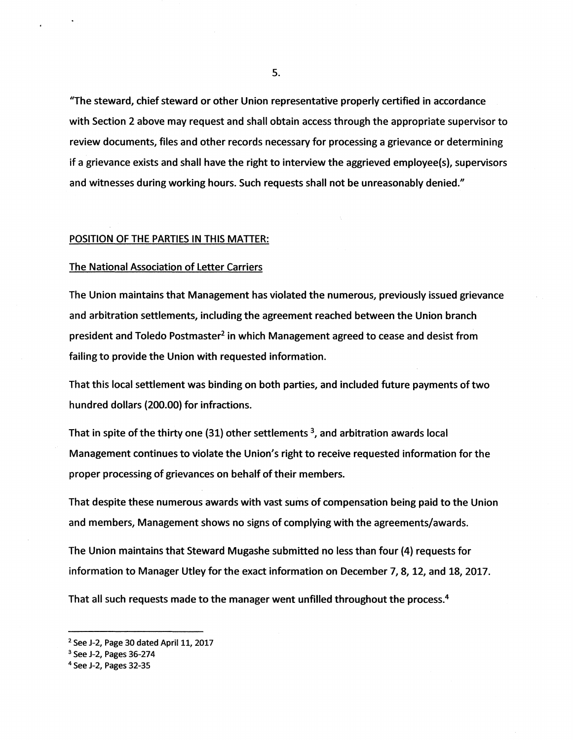"The steward, chief steward or other Union representative properly certified in accordance with Section 2 above may request and shall obtain access through the appropriate supervisor to review documents, files and other records necessary for processing a grievance or determining if a grievance exists and shall have the right to interview the aggrieved employee(s), supervisors and witnesses during working hours. Such requests shall not be unreasonably denied."

## POSITION OF THE PARTIES IN THIS MATIER:

# The National Association of Letter Carriers

The Union maintains that Management has violated the numerous, previously issued grievance and arbitration settlements, including the agreement reached between the Union branch president and Toledo Postmaster<sup>2</sup> in which Management agreed to cease and desist from failing to provide the Union with requested information.

That this local settlement was binding on both parties, and included future payments oftwo hundred dollars (200.00} for infractions.

That in spite of the thirty one (31) other settlements  $3$ , and arbitration awards local Management continues to violate the Union's right to receive requested information for the proper processing of grievances on behalf of their members.

That despite these numerous awards with vast sums of compensation being paid to the Union and members, Management shows no signs of complying with the agreements/awards.

The Union maintains that Steward Mugashe submitted no less than four (4} requests for information to Manager Utley for the exact information on December 7, 8, 12, and 18, 2017.

That all such requests made to the manager went unfilled throughout the process.<sup>4</sup>

 $2$  See J-2, Page 30 dated April 11, 2017

<sup>3</sup> See J-2, Pages 36-274

<sup>4</sup> See J-2, Pages 32-35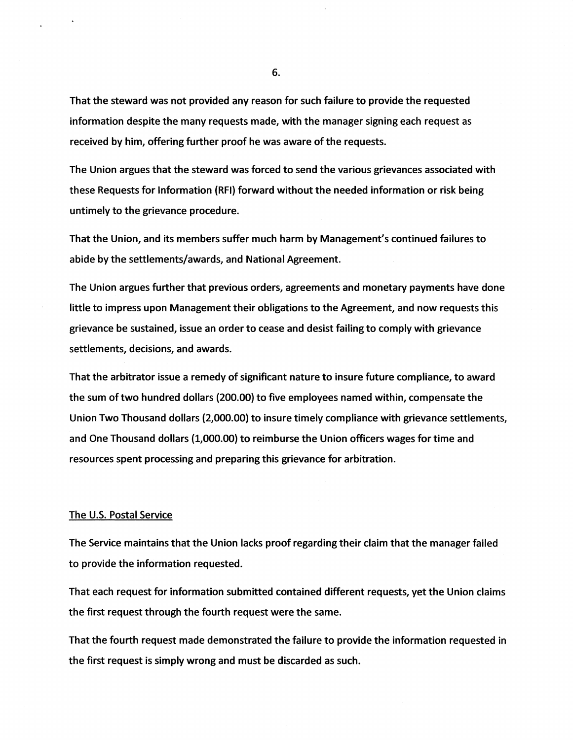That the steward was not provided any reason for such failure to provide the requested information despite the many requests made, with the manager signing each request as received by him, offering further proof he was aware of the requests.

The Union argues that the steward was forced to send the various grievances associated with these Requests for Information {RFI) forward without the needed information or risk being untimely to the grievance procedure.

That the Union, and its members suffer much harm by Management's continued failures to abide by the settlements/awards, and National Agreement.

The Union argues further that previous orders, agreements and monetary payments have done little to impress upon Management their obligations to the Agreement, and now requests this grievance be sustained, issue an order to cease and desist failing to comply with grievance settlements, decisions, and awards.

That the arbitrator issue a remedy of significant nature to insure future compliance, to award the sum oftwo hundred dollars {200.00) to five employees named within, compensate the Union Two Thousand dollars {2,000.00} to insure timely compliance with grievance settlements, and One Thousand dollars {1,000.00) to reimburse the Union officers wages for time and resources spent processing and preparing this grievance for arbitration.

## The U.S. Postal Service

The Service maintains that the Union lacks proof regarding their claim that the manager failed to provide the information requested.

That each request for information submitted contained different requests, yet the Union claims the first request through the fourth request were the same.

That the fourth request made demonstrated the failure to provide the information requested in the first request is simply wrong and must be discarded as such.

6.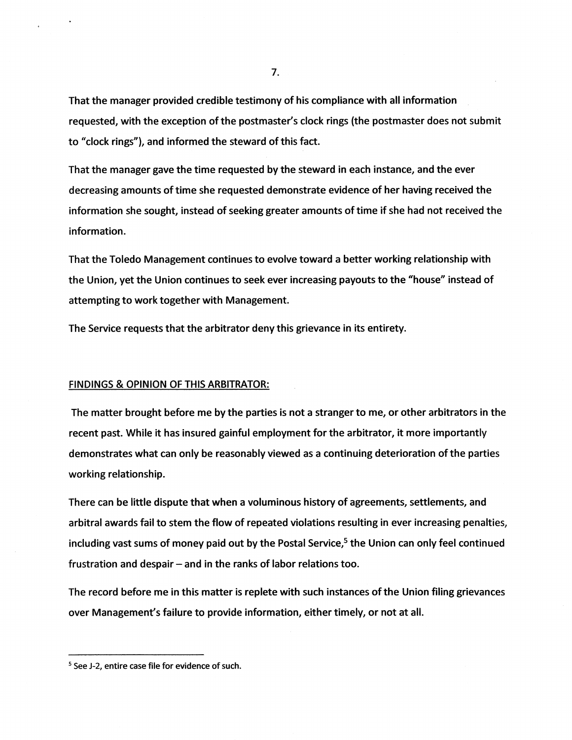That the manager provided credible testimony of his compliance with all information requested, with the exception of the postmaster's clock rings (the postmaster does not submit to "clock rings"), and informed the steward of this fact.

That the manager gave the time requested by the steward in each instance, and the ever decreasing amounts of time she requested demonstrate evidence of her having received the information she sought, instead of seeking greater amounts of time if she had not received the information.

That the Toledo Management continues to evolve toward a better working relationship with the Union, yet the Union continues to seek ever increasing payouts to the "house" instead of attempting to work together with Management.

The Service requests that the arbitrator deny this grievance in its entirety.

## FINDINGS & OPINION OF THIS ARBITRATOR:

The matter brought before me by the parties is not a stranger to *me,* or other arbitrators in the recent past. While it has insured gainful employment for the arbitrator, it more importantly demonstrates what can only be reasonably viewed as a continuing deterioration of the parties working relationship.

There can be little dispute that when a voluminous history of agreements, settlements, and arbitral awards fail to stem the flow of repeated violations resulting in ever increasing penalties, including vast sums of money paid out by the Postal Service,<sup>5</sup> the Union can only feel continued frustration and despair  $-$  and in the ranks of labor relations too.

The record before me in this matter is replete with such instances of the Union filing grievances over Management's failure to provide information, either timely, or not at all.

<sup>&</sup>lt;sup>5</sup> See J-2, entire case file for evidence of such.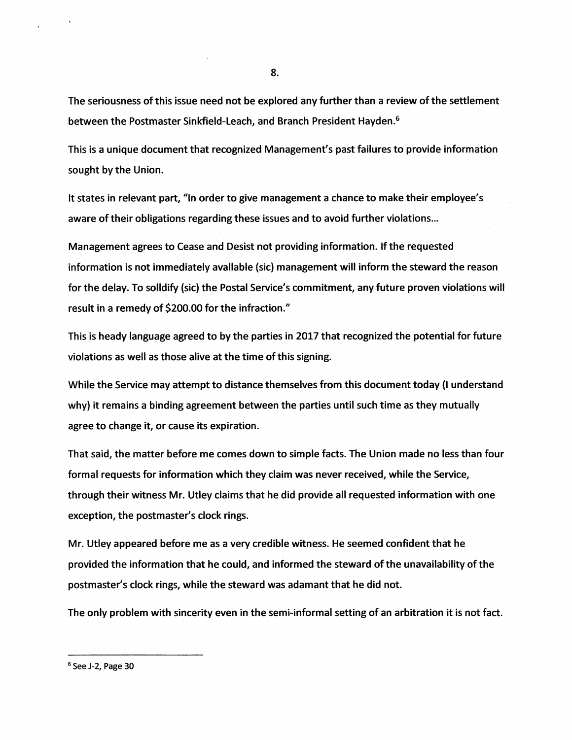The seriousness of this issue need not be explored any further than a review of the settlement between the Postmaster Sinkfield-Leach, and Branch President Hayden.6

This is a unique document that recognized Management's past failures to provide information sought by the Union.

It states in relevant part, "In order to give management a chance to make their employee's aware of their obligations regarding these issues and to avoid further violations...

Management agrees to Cease and Desist not providing information. If the requested information is not immediately available (sic) management will inform the steward the reason for the delay. To solidify (sic) the Postal Service's commitment, any future proven violations will result in a remedy of \$200.00 for the infraction."

This is heady language agreed to by the parties in 2017 that recognized the potential for future violations as well as those alive at the time of this signing.

While the Service may attempt to distance themselves from this document today (I understand why) it remains a binding agreement between the parties until such time as they mutually agree to change it, or cause its expiration.

That said, the matter before me comes down to simple facts. The Union made no less than four formal requests for information which they claim was never received, while the Service, through their witness Mr. Utley claims that he did provide all requested information with one exception, the postmaster's clock rings.

Mr. Utley appeared before me as a very credible witness. He seemed confident that he provided the information that he could, and informed the steward of the unavailability of the postmaster's clock rings, while the steward was adamant that he did not.

The only problem with sincerity even in the semi-informal setting of an arbitration it is not fact.

<sup>6</sup> See J-2, Page 30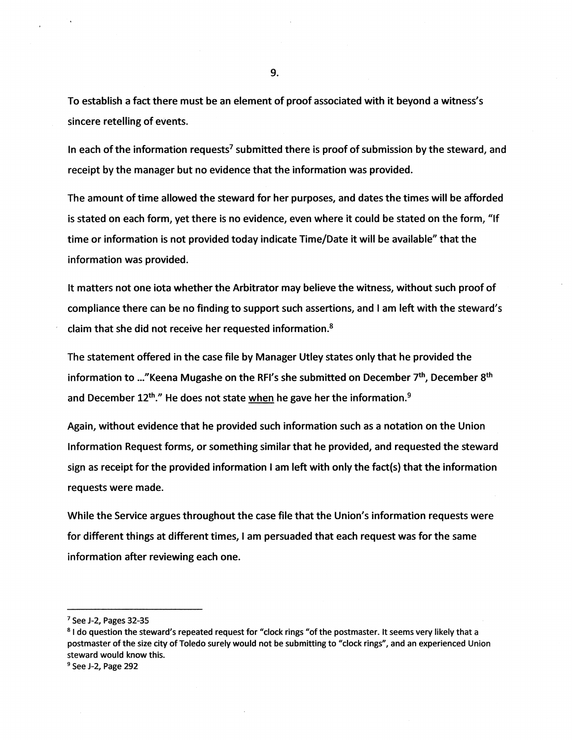To establish a fact there must be an element of proof associated with it beyond a witness's sincere retelling of events.

In each of the information requests<sup>7</sup> submitted there is proof of submission by the steward, and receipt by the manager but no evidence that the information was provided.

The amount of time allowed the steward for her purposes, and dates the times will be afforded is stated on each form, yet there is no evidence, even where it could be stated on the form, "If time or information is not provided today indicate Time/Date it will be available" that the information was provided.

It matters not one iota whether the Arbitrator may believe the witness, without such proof of compliance there can be no finding to support such assertions, and I am left with the steward's claim that she did not receive her requested information.<sup>8</sup>

The statement offered in the case file by Manager Utley states only that he provided the information to ..."Keena Mugashe on the RFI's she submitted on December 7<sup>th</sup>, December 8<sup>th</sup> and December  $12^{th}$ ." He does not state when he gave her the information.<sup>9</sup>

Again, without evidence that he provided such information such as a notation on the Union Information Request forms, or something similar that he provided, and requested the steward sign as receipt for the provided information I am left with only the fact(s) that the information requests were made.

While the Service argues throughout the case file that the Union's information requests were for different things at different times, I am persuaded that each request was for the same information after reviewing each one.

<sup>7</sup> See J-2, Pages 32-35

<sup>&</sup>lt;sup>8</sup> I do question the steward's repeated request for "clock rings "of the postmaster. It seems very likely that a postmaster of the size city of Toledo surely would not be submitting to "clock rings", and an experienced Union steward would know this.

<sup>9</sup> See J-2, Page 292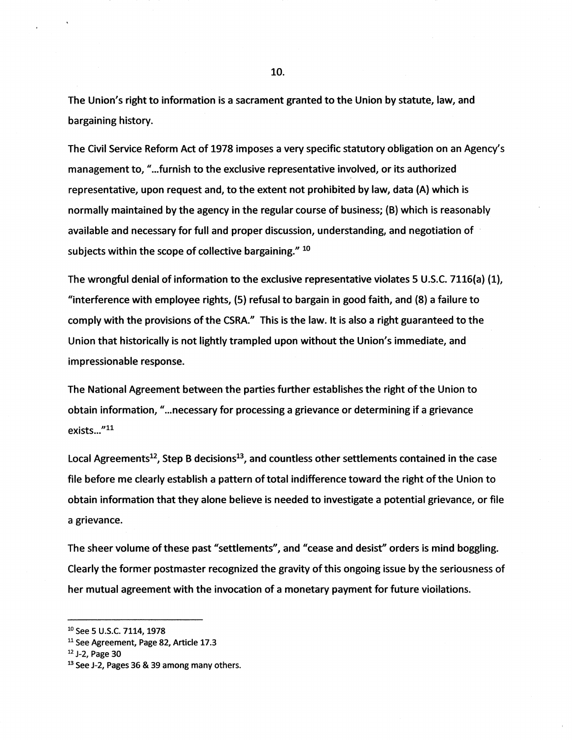The Union's right to information is a sacrament granted to the Union by statute, law, and bargaining history.

The Civil Service Reform Act of 1978 imposes a very specific statutory obligation on an Agency's management to, "...furnish to the exclusive representative involved, or its authorized representative, upon request and, to the extent not prohibited by law, data (A} which is normally maintained by the agency in the regular course of business; (B) which is reasonably available and necessary for full and proper discussion, understanding, and negotiation of · subjects within the scope of collective bargaining." 10

The wrongful denial of information to the exclusive representative violates 5 U.S.C. 7116(a} (1}, <sup>11</sup>interference with employee rights, (5} refusal to bargain in good faith, and (8} a failure to comply with the provisions of the CSRA." This is the law. It is also a right guaranteed to the Union that historically is not lightly trampled upon without the Union's immediate, and impressionable response.

The National Agreement between the parties further establishes the right ofthe Union to obtain information, " ... necessary for processing a grievance or determining if a grievance exists..."<sup>11</sup>

Local Agreements<sup>12</sup>, Step B decisions<sup>13</sup>, and countless other settlements contained in the case file before me clearly establish a pattern of total indifference toward the right of the Union to obtain information that they alone believe is needed to investigate a potential grievance, or file a grievance.

The sheer volume ofthese past "settlements", and "cease and desist'' orders is mind boggling. Clearly the former postmaster recognized the gravity of this ongoing issue by the seriousness of her mutual agreement with the invocation of a monetary payment for future vioilations.

<sup>10</sup> See 5 U.S.C. 7114, 1978

<sup>&</sup>lt;sup>11</sup> See Agreement, Page 82, Article 17.3

<sup>12</sup> J-2, Page 30

<sup>&</sup>lt;sup>13</sup> See J-2, Pages 36 & 39 among many others.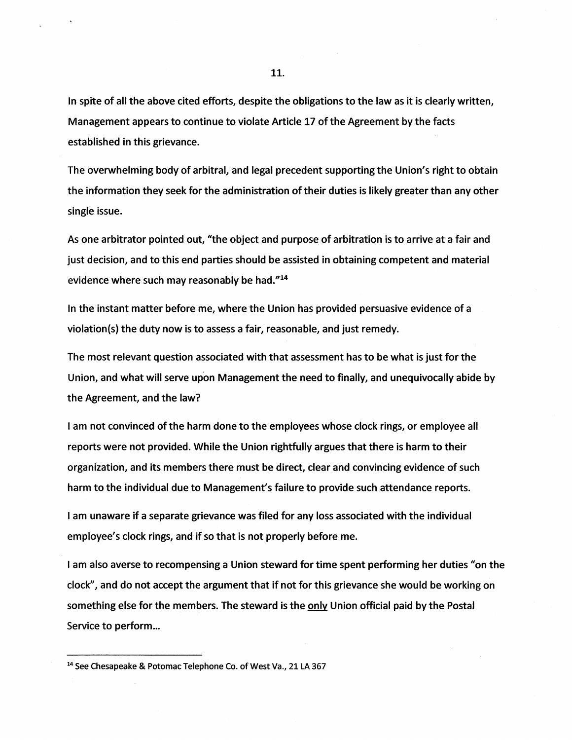In spite of all the above cited efforts, despite the obligations to the law as it is clearly written, Management appears to continue to violate Article 17 of the Agreement by the facts established in this grievance.

The overwhelming body of arbitral, and legal precedent supporting the Union's right to obtain the information they seek for the administration of their duties is likely greater than any other single issue.

As one arbitrator pointed out, "the object and purpose of arbitration is to arrive at a fair and just decision, and to this end parties should be assisted in obtaining competent and material evidence where such may reasonably be had."14

In the instant matter before *me,* where the Union has provided persuasive evidence of a violation(s) the duty now is to assess a fair, reasonable, and just remedy.

The most relevant question associated with that assessment has to be what is just for the Union, and what will serve upon Management the need to finally, and unequivocally abide by the Agreement, and the law?

I am not convinced of the harm done to the employees whose clock rings, or employee all reports were not provided. While the Union rightfully argues that there is harm to their organization, and its members there must be direct, clear and convincing evidence of such harm to the individual due to Management's failure to provide such attendance reports.

I am unaware if a separate grievance was filed for any loss associated with the individual employee's clock rings, and if so that is not properly before me.

I am also averse to recompensing a Union steward for time spent performing her duties "on the clock", and do not accept the argument that if not for this grievance she would be working on something else for the members. The steward is the **only** Union official paid by the Postal Service to perform...

<sup>14</sup> See Chesapeake & Potomac Telephone Co. of West Va., 21 LA 367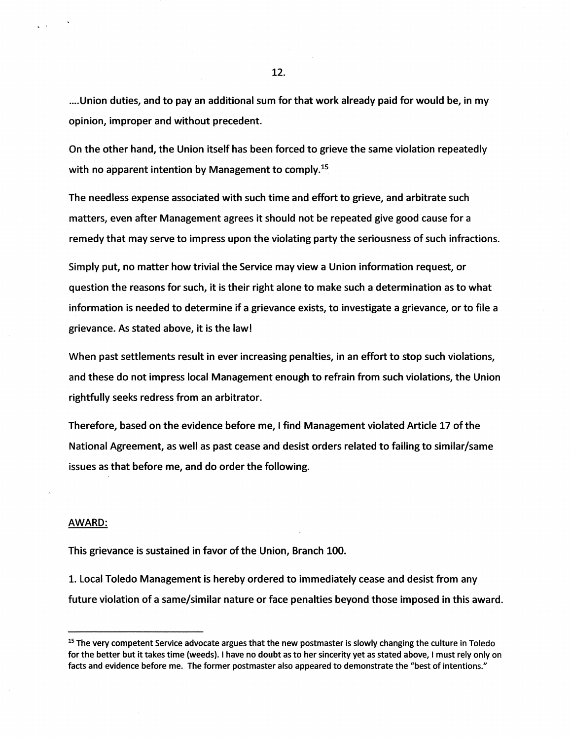.... Union duties, and to pay an additional sum for that work already paid for would be, in my opinion, improper and without precedent.

On the other hand, the Union itself has been forced to grieve the same violation repeatedly with no apparent intention by Management to comply.<sup>15</sup>

The needless expense associated with such time and effort to grieve, and arbitrate such matters, even after Management agrees it should not be repeated give good cause for a remedy that may serve to impress upon the violating party the seriousness of such infractions.

Simply put, no matter how trivial the Service may view a Union information request, or question the reasons for such, it is their right alone to make such a determination as to what information is needed to determine if a grievance exists, to investigate a grievance, or to file a grievance. As stated above, it is the law!

When past settlements result in ever increasing penalties, in an effort to stop such violations, and these do not impress local Management enough to refrain from such violations, the Union rightfully seeks redress from an arbitrator.

Therefore, based on the evidence before me, I find Management violated Article 17 of the National Agreement, as well as past cease and desist orders related to failing to similar/same issues as that before me, and do order the following.

#### AWARD:

This grievance is sustained in favor of the Union, Branch 100.

1. Local Toledo Management is hereby ordered to immediately cease and desist from any future violation of a same/similar nature or face penalties beyond those imposed in this award.

<sup>&</sup>lt;sup>15</sup> The very competent Service advocate argues that the new postmaster is slowly changing the culture in Toledo for the better but it takes time (weeds}. I have no doubt as to her sincerity yet as stated above, I must rely only on facts and evidence before me. The former postmaster also appeared to demonstrate the "best of intentions."